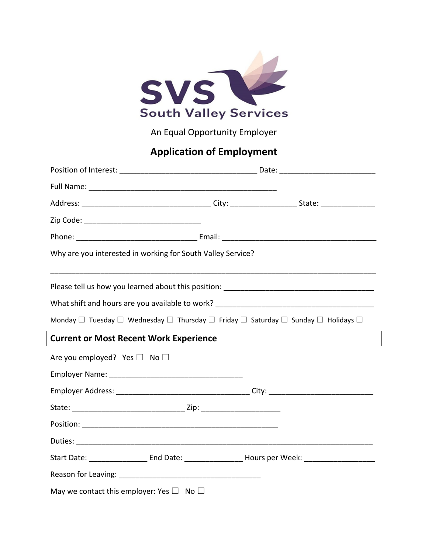

An Equal Opportunity Employer

## **Application of Employment**

| Why are you interested in working for South Valley Service?                                                               |  |
|---------------------------------------------------------------------------------------------------------------------------|--|
|                                                                                                                           |  |
|                                                                                                                           |  |
| Monday $\Box$ Tuesday $\Box$ Wednesday $\Box$ Thursday $\Box$ Friday $\Box$ Saturday $\Box$ Sunday $\Box$ Holidays $\Box$ |  |
| <b>Current or Most Recent Work Experience</b>                                                                             |  |
| Are you employed? Yes $\square$ No $\square$                                                                              |  |
|                                                                                                                           |  |
|                                                                                                                           |  |
|                                                                                                                           |  |
|                                                                                                                           |  |
|                                                                                                                           |  |
| Start Date: _______________________ End Date: ________________________Hours per Week: ________________________            |  |
|                                                                                                                           |  |
| May we contact this employer: Yes $\square$ No $\square$                                                                  |  |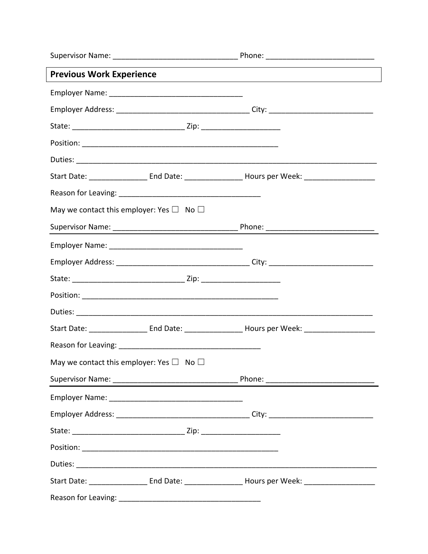| <b>Previous Work Experience</b>                          |                                                                                                                |  |
|----------------------------------------------------------|----------------------------------------------------------------------------------------------------------------|--|
|                                                          |                                                                                                                |  |
|                                                          |                                                                                                                |  |
|                                                          |                                                                                                                |  |
|                                                          |                                                                                                                |  |
|                                                          |                                                                                                                |  |
|                                                          | Start Date: ________________________End Date: ______________________Hours per Week: _____________________      |  |
|                                                          |                                                                                                                |  |
| May we contact this employer: Yes $\square$ No $\square$ |                                                                                                                |  |
|                                                          |                                                                                                                |  |
|                                                          |                                                                                                                |  |
|                                                          |                                                                                                                |  |
|                                                          |                                                                                                                |  |
|                                                          |                                                                                                                |  |
|                                                          |                                                                                                                |  |
|                                                          | Start Date: _______________________ End Date: _______________________Hours per Week: _________________________ |  |
|                                                          |                                                                                                                |  |
| May we contact this employer: Yes $\Box$ No $\Box$       |                                                                                                                |  |
|                                                          |                                                                                                                |  |
|                                                          |                                                                                                                |  |
|                                                          |                                                                                                                |  |
|                                                          |                                                                                                                |  |
|                                                          |                                                                                                                |  |
|                                                          |                                                                                                                |  |
|                                                          | Start Date: _______________________ End Date: ________________________Hours per Week: _______________________  |  |
| Reason for Leaving:                                      |                                                                                                                |  |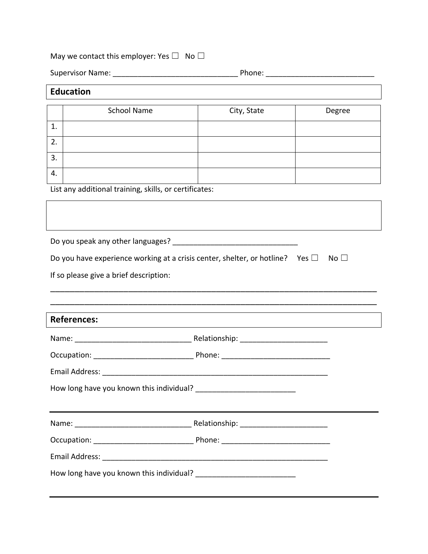## May we contact this employer: Yes  $\square$  No  $\square$

Supervisor Name: \_\_\_\_\_\_\_\_\_\_\_\_\_\_\_\_\_\_\_\_\_\_\_\_\_\_\_\_\_\_ Phone: \_\_\_\_\_\_\_\_\_\_\_\_\_\_\_\_\_\_\_\_\_\_\_\_\_\_

## **Education**

|    | <b>School Name</b> | City, State | Degree |
|----|--------------------|-------------|--------|
|    |                    |             |        |
| ᅩ  |                    |             |        |
|    |                    |             |        |
| 2. |                    |             |        |
|    |                    |             |        |
| 3. |                    |             |        |
|    |                    |             |        |
| 4. |                    |             |        |
|    |                    |             |        |

List any additional training, skills, or certificates:

Do you speak any other languages? \_\_\_\_\_\_\_\_\_\_\_\_\_\_\_\_\_\_\_\_\_\_\_\_\_\_\_\_\_\_

| Do you have experience working at a crisis center, shelter, or hotline? Yes $\square$ No $\square$ |  |  |
|----------------------------------------------------------------------------------------------------|--|--|
|----------------------------------------------------------------------------------------------------|--|--|

\_\_\_\_\_\_\_\_\_\_\_\_\_\_\_\_\_\_\_\_\_\_\_\_\_\_\_\_\_\_\_\_\_\_\_\_\_\_\_\_\_\_\_\_\_\_\_\_\_\_\_\_\_\_\_\_\_\_\_\_\_\_\_\_\_\_\_ \_\_\_\_\_\_\_\_\_\_\_\_\_\_\_\_\_\_\_\_\_\_\_\_\_\_\_\_\_\_\_\_\_\_\_\_\_\_\_\_\_\_\_\_\_\_\_\_\_\_\_\_\_\_\_\_\_\_\_\_\_\_\_\_\_\_\_

If so please give a brief description:

| <b>References:</b>                                                                                                   |  |  |
|----------------------------------------------------------------------------------------------------------------------|--|--|
|                                                                                                                      |  |  |
|                                                                                                                      |  |  |
|                                                                                                                      |  |  |
|                                                                                                                      |  |  |
| <u> 1989 - Johann John Stone, mensk foar it ferstjer fan de ferstjer fan de ferstjer fan de ferstjer fan de fers</u> |  |  |
|                                                                                                                      |  |  |
|                                                                                                                      |  |  |
|                                                                                                                      |  |  |
|                                                                                                                      |  |  |